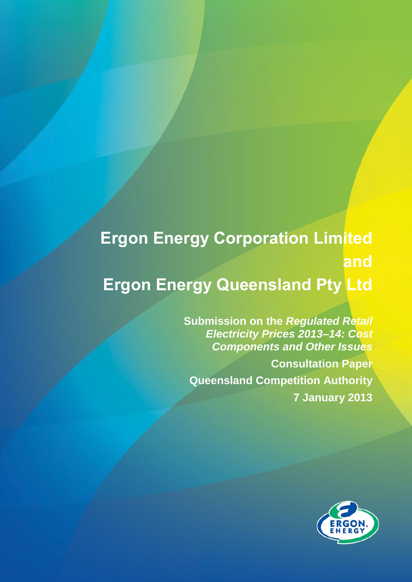## **Ergon Energy Corporation Limited and Ergon Energy Queensland Pty Ltd**

**Submission on the** *Regulated Retail Electricity Prices 2013–14: Cost Components and Other Issues* **Consultation Paper Queensland Competition Authority 7 January 2013**

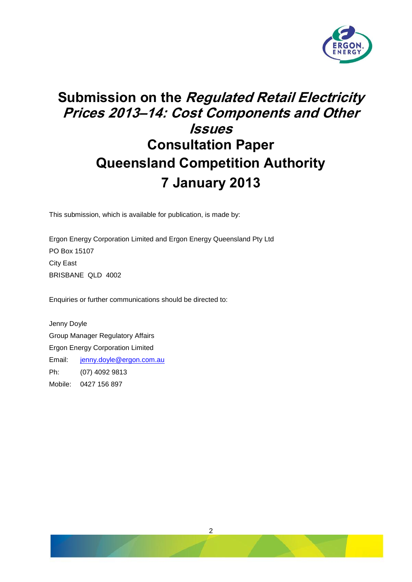

## **Submission on the Regulated Retail Electricity Prices 2013–14: Cost Components and Other Issues Consultation Paper Queensland Competition Authority 7 January 2013**

This submission, which is available for publication, is made by:

Ergon Energy Corporation Limited and Ergon Energy Queensland Pty Ltd PO Box 15107 City East BRISBANE QLD 4002

Enquiries or further communications should be directed to:

Jenny Doyle Group Manager Regulatory Affairs Ergon Energy Corporation Limited Email: [jenny.doyle@ergon.com.au](mailto:jenny.doyle@ergon.com.au) Ph: (07) 4092 9813

Mobile: 0427 156 897

2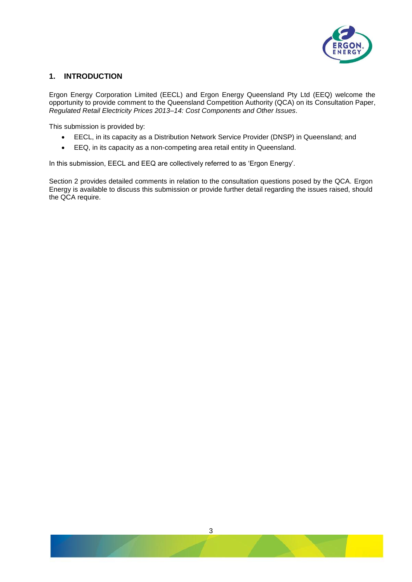

## **1. INTRODUCTION**

Ergon Energy Corporation Limited (EECL) and Ergon Energy Queensland Pty Ltd (EEQ) welcome the opportunity to provide comment to the Queensland Competition Authority (QCA) on its Consultation Paper, *Regulated Retail Electricity Prices 2013–14: Cost Components and Other Issues*.

This submission is provided by:

- EECL, in its capacity as a Distribution Network Service Provider (DNSP) in Queensland; and
- EEQ, in its capacity as a non-competing area retail entity in Queensland.

In this submission, EECL and EEQ are collectively referred to as 'Ergon Energy'.

Section 2 provides detailed comments in relation to the consultation questions posed by the QCA. Ergon Energy is available to discuss this submission or provide further detail regarding the issues raised, should the QCA require.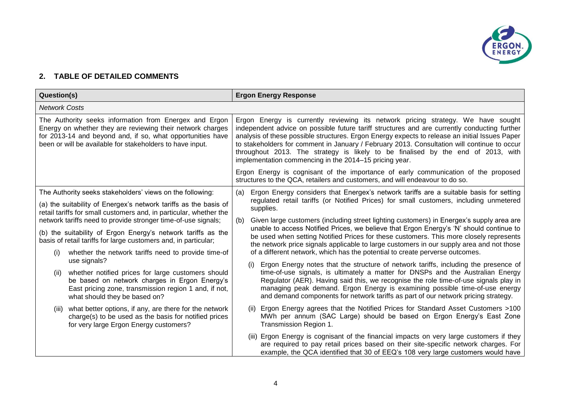

## **2. TABLE OF DETAILED COMMENTS**

| <b>Question(s)</b>                                                                                                                                                                                                                                                                                                                                                                                                                                                                                                                                                                                                                                                                             |                                                                                                                                                                                                                                                                                                                                                                                                                                                                                                                                 | <b>Ergon Energy Response</b>                                                                                                                                                                                                                                                                                                                                                                                                                                                                                                                                                                                                                                                                                                                                                                                                                                                                                                                                                                                                                                                                             |
|------------------------------------------------------------------------------------------------------------------------------------------------------------------------------------------------------------------------------------------------------------------------------------------------------------------------------------------------------------------------------------------------------------------------------------------------------------------------------------------------------------------------------------------------------------------------------------------------------------------------------------------------------------------------------------------------|---------------------------------------------------------------------------------------------------------------------------------------------------------------------------------------------------------------------------------------------------------------------------------------------------------------------------------------------------------------------------------------------------------------------------------------------------------------------------------------------------------------------------------|----------------------------------------------------------------------------------------------------------------------------------------------------------------------------------------------------------------------------------------------------------------------------------------------------------------------------------------------------------------------------------------------------------------------------------------------------------------------------------------------------------------------------------------------------------------------------------------------------------------------------------------------------------------------------------------------------------------------------------------------------------------------------------------------------------------------------------------------------------------------------------------------------------------------------------------------------------------------------------------------------------------------------------------------------------------------------------------------------------|
| <b>Network Costs</b>                                                                                                                                                                                                                                                                                                                                                                                                                                                                                                                                                                                                                                                                           |                                                                                                                                                                                                                                                                                                                                                                                                                                                                                                                                 |                                                                                                                                                                                                                                                                                                                                                                                                                                                                                                                                                                                                                                                                                                                                                                                                                                                                                                                                                                                                                                                                                                          |
| The Authority seeks information from Energex and Ergon<br>Energy on whether they are reviewing their network charges<br>for 2013-14 and beyond and, if so, what opportunities have<br>been or will be available for stakeholders to have input.                                                                                                                                                                                                                                                                                                                                                                                                                                                | Ergon Energy is currently reviewing its network pricing strategy. We have sought<br>independent advice on possible future tariff structures and are currently conducting further<br>analysis of these possible structures. Ergon Energy expects to release an initial Issues Paper<br>to stakeholders for comment in January / February 2013. Consultation will continue to occur<br>throughout 2013. The strategy is likely to be finalised by the end of 2013, with<br>implementation commencing in the 2014-15 pricing year. |                                                                                                                                                                                                                                                                                                                                                                                                                                                                                                                                                                                                                                                                                                                                                                                                                                                                                                                                                                                                                                                                                                          |
|                                                                                                                                                                                                                                                                                                                                                                                                                                                                                                                                                                                                                                                                                                |                                                                                                                                                                                                                                                                                                                                                                                                                                                                                                                                 | Ergon Energy is cognisant of the importance of early communication of the proposed<br>structures to the QCA, retailers and customers, and will endeavour to do so.                                                                                                                                                                                                                                                                                                                                                                                                                                                                                                                                                                                                                                                                                                                                                                                                                                                                                                                                       |
| The Authority seeks stakeholders' views on the following:<br>(a) the suitability of Energex's network tariffs as the basis of<br>retail tariffs for small customers and, in particular, whether the<br>network tariffs need to provide stronger time-of-use signals;<br>(b) the suitability of Ergon Energy's network tariffs as the<br>basis of retail tariffs for large customers and, in particular;<br>whether the network tariffs need to provide time-of<br>(i)<br>use signals?<br>whether notified prices for large customers should<br>(ii)<br>be based on network charges in Ergon Energy's<br>East pricing zone, transmission region 1 and, if not,<br>what should they be based on? | (a)<br>(b)                                                                                                                                                                                                                                                                                                                                                                                                                                                                                                                      | Ergon Energy considers that Energex's network tariffs are a suitable basis for setting<br>regulated retail tariffs (or Notified Prices) for small customers, including unmetered<br>supplies.<br>Given large customers (including street lighting customers) in Energex's supply area are<br>unable to access Notified Prices, we believe that Ergon Energy's 'N' should continue to<br>be used when setting Notified Prices for these customers. This more closely represents<br>the network price signals applicable to large customers in our supply area and not those<br>of a different network, which has the potential to create perverse outcomes.<br>Ergon Energy notes that the structure of network tariffs, including the presence of<br>(i)<br>time-of-use signals, is ultimately a matter for DNSPs and the Australian Energy<br>Regulator (AER). Having said this, we recognise the role time-of-use signals play in<br>managing peak demand. Ergon Energy is examining possible time-of-use energy<br>and demand components for network tariffs as part of our network pricing strategy. |
| what better options, if any, are there for the network<br>(iii)<br>charge(s) to be used as the basis for notified prices<br>for very large Ergon Energy customers?                                                                                                                                                                                                                                                                                                                                                                                                                                                                                                                             |                                                                                                                                                                                                                                                                                                                                                                                                                                                                                                                                 | (ii) Ergon Energy agrees that the Notified Prices for Standard Asset Customers >100<br>MWh per annum (SAC Large) should be based on Ergon Energy's East Zone<br>Transmission Region 1.                                                                                                                                                                                                                                                                                                                                                                                                                                                                                                                                                                                                                                                                                                                                                                                                                                                                                                                   |
|                                                                                                                                                                                                                                                                                                                                                                                                                                                                                                                                                                                                                                                                                                |                                                                                                                                                                                                                                                                                                                                                                                                                                                                                                                                 | (iii) Ergon Energy is cognisant of the financial impacts on very large customers if they<br>are required to pay retail prices based on their site-specific network charges. For<br>example, the QCA identified that 30 of EEQ's 108 very large customers would have                                                                                                                                                                                                                                                                                                                                                                                                                                                                                                                                                                                                                                                                                                                                                                                                                                      |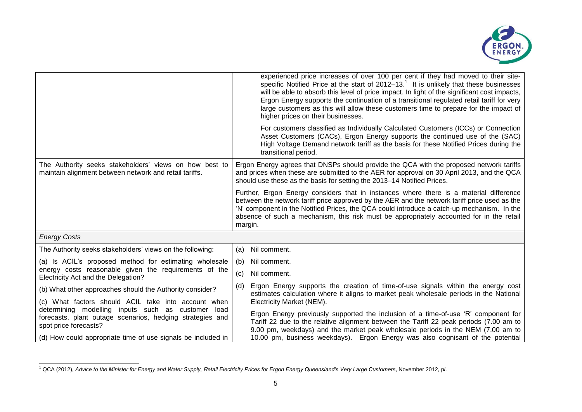

|                                                                                                                                                                                                    |                                                                                                                                                                                                                                                                | experienced price increases of over 100 per cent if they had moved to their site-<br>specific Notified Price at the start of $2012-13$ <sup>1</sup> It is unlikely that these businesses<br>will be able to absorb this level of price impact. In light of the significant cost impacts,<br>Ergon Energy supports the continuation of a transitional regulated retail tariff for very<br>large customers as this will allow these customers time to prepare for the impact of<br>higher prices on their businesses. |
|----------------------------------------------------------------------------------------------------------------------------------------------------------------------------------------------------|----------------------------------------------------------------------------------------------------------------------------------------------------------------------------------------------------------------------------------------------------------------|---------------------------------------------------------------------------------------------------------------------------------------------------------------------------------------------------------------------------------------------------------------------------------------------------------------------------------------------------------------------------------------------------------------------------------------------------------------------------------------------------------------------|
|                                                                                                                                                                                                    |                                                                                                                                                                                                                                                                | For customers classified as Individually Calculated Customers (ICCs) or Connection<br>Asset Customers (CACs), Ergon Energy supports the continued use of the (SAC)<br>High Voltage Demand network tariff as the basis for these Notified Prices during the<br>transitional period.                                                                                                                                                                                                                                  |
| The Authority seeks stakeholders' views on how best to<br>maintain alignment between network and retail tariffs.                                                                                   | Ergon Energy agrees that DNSPs should provide the QCA with the proposed network tariffs<br>and prices when these are submitted to the AER for approval on 30 April 2013, and the QCA<br>should use these as the basis for setting the 2013-14 Notified Prices. |                                                                                                                                                                                                                                                                                                                                                                                                                                                                                                                     |
|                                                                                                                                                                                                    | margin.                                                                                                                                                                                                                                                        | Further, Ergon Energy considers that in instances where there is a material difference<br>between the network tariff price approved by the AER and the network tariff price used as the<br>'N' component in the Notified Prices, the QCA could introduce a catch-up mechanism. In the<br>absence of such a mechanism, this risk must be appropriately accounted for in the retail                                                                                                                                   |
| <b>Energy Costs</b>                                                                                                                                                                                |                                                                                                                                                                                                                                                                |                                                                                                                                                                                                                                                                                                                                                                                                                                                                                                                     |
| The Authority seeks stakeholders' views on the following:                                                                                                                                          | (a)                                                                                                                                                                                                                                                            | Nil comment.                                                                                                                                                                                                                                                                                                                                                                                                                                                                                                        |
| (a) Is ACIL's proposed method for estimating wholesale<br>energy costs reasonable given the requirements of the<br>Electricity Act and the Delegation?                                             | (b)                                                                                                                                                                                                                                                            | Nil comment.                                                                                                                                                                                                                                                                                                                                                                                                                                                                                                        |
|                                                                                                                                                                                                    | (c)                                                                                                                                                                                                                                                            | Nil comment.                                                                                                                                                                                                                                                                                                                                                                                                                                                                                                        |
| (b) What other approaches should the Authority consider?                                                                                                                                           | (d)                                                                                                                                                                                                                                                            | Ergon Energy supports the creation of time-of-use signals within the energy cost<br>estimates calculation where it aligns to market peak wholesale periods in the National<br>Electricity Market (NEM).                                                                                                                                                                                                                                                                                                             |
| (c) What factors should ACIL take into account when<br>determining modelling inputs such as customer<br>load<br>forecasts, plant outage scenarios, hedging strategies and<br>spot price forecasts? |                                                                                                                                                                                                                                                                |                                                                                                                                                                                                                                                                                                                                                                                                                                                                                                                     |
|                                                                                                                                                                                                    |                                                                                                                                                                                                                                                                | Ergon Energy previously supported the inclusion of a time-of-use 'R' component for<br>Tariff 22 due to the relative alignment between the Tariff 22 peak periods (7.00 am to<br>9.00 pm, weekdays) and the market peak wholesale periods in the NEM (7.00 am to                                                                                                                                                                                                                                                     |
| (d) How could appropriate time of use signals be included in                                                                                                                                       |                                                                                                                                                                                                                                                                | 10.00 pm, business weekdays). Ergon Energy was also cognisant of the potential                                                                                                                                                                                                                                                                                                                                                                                                                                      |

l <sup>1</sup> QCA (2012), *Advice to the Minister for Energy and Water Supply, Retail Electricity Prices for Ergon Energy Queensland's Very Large Customers*, November 2012, p*i*.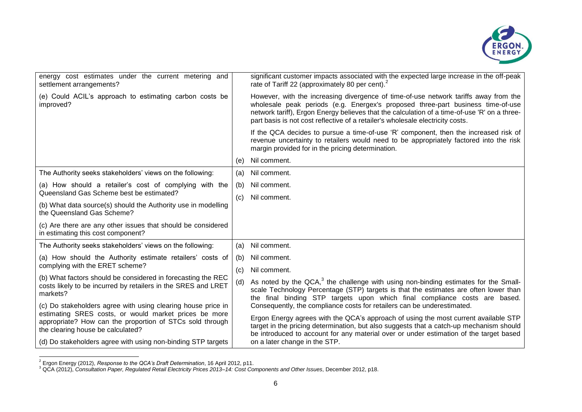

| energy cost estimates under the current metering and<br>settlement arrangements?                                                                                                                                       |     | significant customer impacts associated with the expected large increase in the off-peak<br>rate of Tariff 22 (approximately 80 per cent). <sup>2</sup>                                                                                                                                                                                                   |
|------------------------------------------------------------------------------------------------------------------------------------------------------------------------------------------------------------------------|-----|-----------------------------------------------------------------------------------------------------------------------------------------------------------------------------------------------------------------------------------------------------------------------------------------------------------------------------------------------------------|
| (e) Could ACIL's approach to estimating carbon costs be<br>improved?                                                                                                                                                   |     | However, with the increasing divergence of time-of-use network tariffs away from the<br>wholesale peak periods (e.g. Energex's proposed three-part business time-of-use<br>network tariff), Ergon Energy believes that the calculation of a time-of-use 'R' on a three-<br>part basis is not cost reflective of a retailer's wholesale electricity costs. |
|                                                                                                                                                                                                                        |     | If the QCA decides to pursue a time-of-use 'R' component, then the increased risk of<br>revenue uncertainty to retailers would need to be appropriately factored into the risk<br>margin provided for in the pricing determination.                                                                                                                       |
|                                                                                                                                                                                                                        | (e) | Nil comment.                                                                                                                                                                                                                                                                                                                                              |
| The Authority seeks stakeholders' views on the following:                                                                                                                                                              | (a) | Nil comment.                                                                                                                                                                                                                                                                                                                                              |
| (a) How should a retailer's cost of complying with the                                                                                                                                                                 | (b) | Nil comment.                                                                                                                                                                                                                                                                                                                                              |
| Queensland Gas Scheme best be estimated?                                                                                                                                                                               | (c) | Nil comment.                                                                                                                                                                                                                                                                                                                                              |
| (b) What data source(s) should the Authority use in modelling<br>the Queensland Gas Scheme?                                                                                                                            |     |                                                                                                                                                                                                                                                                                                                                                           |
| (c) Are there are any other issues that should be considered<br>in estimating this cost component?                                                                                                                     |     |                                                                                                                                                                                                                                                                                                                                                           |
| The Authority seeks stakeholders' views on the following:                                                                                                                                                              | (a) | Nil comment.                                                                                                                                                                                                                                                                                                                                              |
| (a) How should the Authority estimate retailers' costs of<br>complying with the ERET scheme?                                                                                                                           | (b) | Nil comment.                                                                                                                                                                                                                                                                                                                                              |
|                                                                                                                                                                                                                        | (C) | Nil comment.                                                                                                                                                                                                                                                                                                                                              |
| (b) What factors should be considered in forecasting the REC<br>costs likely to be incurred by retailers in the SRES and LRET<br>markets?                                                                              | (d) | As noted by the QCA, $3$ the challenge with using non-binding estimates for the Small-<br>scale Technology Percentage (STP) targets is that the estimates are often lower than<br>the final binding STP targets upon which final compliance costs are based.                                                                                              |
| (c) Do stakeholders agree with using clearing house price in<br>estimating SRES costs, or would market prices be more<br>appropriate? How can the proportion of STCs sold through<br>the clearing house be calculated? |     | Consequently, the compliance costs for retailers can be underestimated.                                                                                                                                                                                                                                                                                   |
|                                                                                                                                                                                                                        |     | Ergon Energy agrees with the QCA's approach of using the most current available STP<br>target in the pricing determination, but also suggests that a catch-up mechanism should<br>be introduced to account for any material over or under estimation of the target based                                                                                  |
| (d) Do stakeholders agree with using non-binding STP targets                                                                                                                                                           |     | on a later change in the STP.                                                                                                                                                                                                                                                                                                                             |

<sup>2</sup> Ergon Energy (2012), *Response to the QCA's Draft Determination*, 16 April 2012, p11.

l

<sup>3</sup> QCA (2012), *Consultation Paper, Regulated Retail Electricity Prices 2013–14: Cost Components and Other Issues*, December 2012, p18.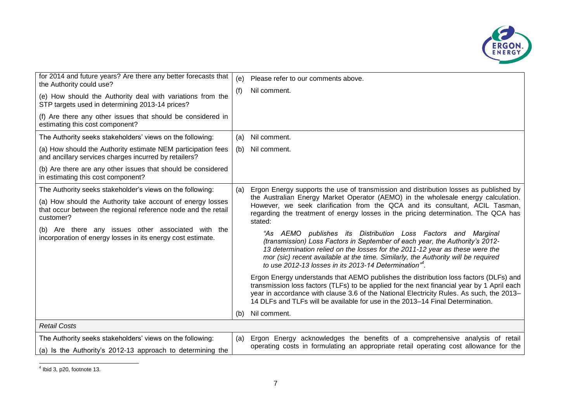

| for 2014 and future years? Are there any better forecasts that<br>the Authority could use?<br>(e) How should the Authority deal with variations from the<br>STP targets used in determining 2013-14 prices?<br>(f) Are there any other issues that should be considered in<br>estimating this cost component?<br>The Authority seeks stakeholders' views on the following: | (e)<br>(f)<br>(a) | Please refer to our comments above.<br>Nil comment.<br>Nil comment.                                                                                                                                                                                                                                                                                                                                                                                                                                                                                                                                                                                                                                                                                                                                                                                                                                                                                                                                                                                                                                                            |
|----------------------------------------------------------------------------------------------------------------------------------------------------------------------------------------------------------------------------------------------------------------------------------------------------------------------------------------------------------------------------|-------------------|--------------------------------------------------------------------------------------------------------------------------------------------------------------------------------------------------------------------------------------------------------------------------------------------------------------------------------------------------------------------------------------------------------------------------------------------------------------------------------------------------------------------------------------------------------------------------------------------------------------------------------------------------------------------------------------------------------------------------------------------------------------------------------------------------------------------------------------------------------------------------------------------------------------------------------------------------------------------------------------------------------------------------------------------------------------------------------------------------------------------------------|
| (a) How should the Authority estimate NEM participation fees<br>and ancillary services charges incurred by retailers?<br>(b) Are there are any other issues that should be considered<br>in estimating this cost component?                                                                                                                                                | (b)               | Nil comment.                                                                                                                                                                                                                                                                                                                                                                                                                                                                                                                                                                                                                                                                                                                                                                                                                                                                                                                                                                                                                                                                                                                   |
| The Authority seeks stakeholder's views on the following:<br>(a) How should the Authority take account of energy losses<br>that occur between the regional reference node and the retail<br>customer?<br>(b) Are there any issues other associated with the<br>incorporation of energy losses in its energy cost estimate.                                                 | (a)<br>(b)        | Ergon Energy supports the use of transmission and distribution losses as published by<br>the Australian Energy Market Operator (AEMO) in the wholesale energy calculation.<br>However, we seek clarification from the QCA and its consultant, ACIL Tasman,<br>regarding the treatment of energy losses in the pricing determination. The QCA has<br>stated:<br>"As AEMO publishes its Distribution Loss Factors and Marginal<br>(transmission) Loss Factors in September of each year, the Authority's 2012-<br>13 determination relied on the losses for the 2011-12 year as these were the<br>mor (sic) recent available at the time. Similarly, the Authority will be required<br>to use 2012-13 losses in its 2013-14 Determination".<br>Ergon Energy understands that AEMO publishes the distribution loss factors (DLFs) and<br>transmission loss factors (TLFs) to be applied for the next financial year by 1 April each<br>year in accordance with clause 3.6 of the National Electricity Rules. As such, the 2013-<br>14 DLFs and TLFs will be available for use in the 2013-14 Final Determination.<br>Nil comment. |
| <b>Retail Costs</b>                                                                                                                                                                                                                                                                                                                                                        |                   |                                                                                                                                                                                                                                                                                                                                                                                                                                                                                                                                                                                                                                                                                                                                                                                                                                                                                                                                                                                                                                                                                                                                |
| The Authority seeks stakeholders' views on the following:<br>(a) Is the Authority's 2012-13 approach to determining the                                                                                                                                                                                                                                                    | (a)               | Ergon Energy acknowledges the benefits of a comprehensive analysis of retail<br>operating costs in formulating an appropriate retail operating cost allowance for the                                                                                                                                                                                                                                                                                                                                                                                                                                                                                                                                                                                                                                                                                                                                                                                                                                                                                                                                                          |

4 Ibid 3, p20, footnote 13.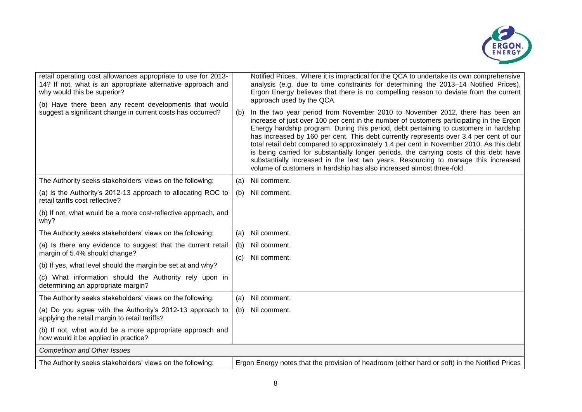

| retail operating cost allowances appropriate to use for 2013-<br>14? If not, what is an appropriate alternative approach and<br>why would this be superior?<br>(b) Have there been any recent developments that would<br>suggest a significant change in current costs has occurred? | (b)        | Notified Prices. Where it is impractical for the QCA to undertake its own comprehensive<br>analysis (e.g. due to time constraints for determining the 2013-14 Notified Prices),<br>Ergon Energy believes that there is no compelling reason to deviate from the current<br>approach used by the QCA.<br>In the two year period from November 2010 to November 2012, there has been an<br>increase of just over 100 per cent in the number of customers participating in the Ergon<br>Energy hardship program. During this period, debt pertaining to customers in hardship<br>has increased by 160 per cent. This debt currently represents over 3.4 per cent of our |
|--------------------------------------------------------------------------------------------------------------------------------------------------------------------------------------------------------------------------------------------------------------------------------------|------------|----------------------------------------------------------------------------------------------------------------------------------------------------------------------------------------------------------------------------------------------------------------------------------------------------------------------------------------------------------------------------------------------------------------------------------------------------------------------------------------------------------------------------------------------------------------------------------------------------------------------------------------------------------------------|
|                                                                                                                                                                                                                                                                                      |            | total retail debt compared to approximately 1.4 per cent in November 2010. As this debt<br>is being carried for substantially longer periods, the carrying costs of this debt have<br>substantially increased in the last two years. Resourcing to manage this increased<br>volume of customers in hardship has also increased almost three-fold.                                                                                                                                                                                                                                                                                                                    |
| The Authority seeks stakeholders' views on the following:                                                                                                                                                                                                                            | (a)        | Nil comment.                                                                                                                                                                                                                                                                                                                                                                                                                                                                                                                                                                                                                                                         |
| (a) Is the Authority's 2012-13 approach to allocating ROC to<br>retail tariffs cost reflective?                                                                                                                                                                                      | (b)        | Nil comment.                                                                                                                                                                                                                                                                                                                                                                                                                                                                                                                                                                                                                                                         |
| (b) If not, what would be a more cost-reflective approach, and<br>why?                                                                                                                                                                                                               |            |                                                                                                                                                                                                                                                                                                                                                                                                                                                                                                                                                                                                                                                                      |
| The Authority seeks stakeholders' views on the following:                                                                                                                                                                                                                            | (a)        | Nil comment.                                                                                                                                                                                                                                                                                                                                                                                                                                                                                                                                                                                                                                                         |
| (a) Is there any evidence to suggest that the current retail<br>margin of 5.4% should change?                                                                                                                                                                                        | (b)<br>(C) | Nil comment.<br>Nil comment.                                                                                                                                                                                                                                                                                                                                                                                                                                                                                                                                                                                                                                         |
| (b) If yes, what level should the margin be set at and why?                                                                                                                                                                                                                          |            |                                                                                                                                                                                                                                                                                                                                                                                                                                                                                                                                                                                                                                                                      |
| (c) What information should the Authority rely upon in<br>determining an appropriate margin?                                                                                                                                                                                         |            |                                                                                                                                                                                                                                                                                                                                                                                                                                                                                                                                                                                                                                                                      |
| The Authority seeks stakeholders' views on the following:                                                                                                                                                                                                                            | (a)        | Nil comment.                                                                                                                                                                                                                                                                                                                                                                                                                                                                                                                                                                                                                                                         |
| (a) Do you agree with the Authority's 2012-13 approach to<br>applying the retail margin to retail tariffs?                                                                                                                                                                           | (b)        | Nil comment.                                                                                                                                                                                                                                                                                                                                                                                                                                                                                                                                                                                                                                                         |
| (b) If not, what would be a more appropriate approach and<br>how would it be applied in practice?                                                                                                                                                                                    |            |                                                                                                                                                                                                                                                                                                                                                                                                                                                                                                                                                                                                                                                                      |
| <b>Competition and Other Issues</b>                                                                                                                                                                                                                                                  |            |                                                                                                                                                                                                                                                                                                                                                                                                                                                                                                                                                                                                                                                                      |
| The Authority seeks stakeholders' views on the following:                                                                                                                                                                                                                            |            | Ergon Energy notes that the provision of headroom (either hard or soft) in the Notified Prices                                                                                                                                                                                                                                                                                                                                                                                                                                                                                                                                                                       |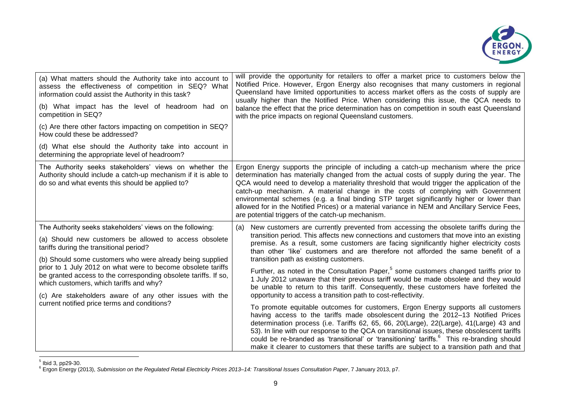

| (a) What matters should the Authority take into account to<br>assess the effectiveness of competition in SEQ? What<br>information could assist the Authority in this task?<br>(b) What impact has the level of headroom had on<br>competition in SEQ?<br>(c) Are there other factors impacting on competition in SEQ?                                                                                                                                                | will provide the opportunity for retailers to offer a market price to customers below the<br>Notified Price. However, Ergon Energy also recognises that many customers in regional<br>Queensland have limited opportunities to access market offers as the costs of supply are<br>usually higher than the Notified Price. When considering this issue, the QCA needs to<br>balance the effect that the price determination has on competition in south east Queensland<br>with the price impacts on regional Queensland customers.                                                                                                                                                                                                                                    |
|----------------------------------------------------------------------------------------------------------------------------------------------------------------------------------------------------------------------------------------------------------------------------------------------------------------------------------------------------------------------------------------------------------------------------------------------------------------------|-----------------------------------------------------------------------------------------------------------------------------------------------------------------------------------------------------------------------------------------------------------------------------------------------------------------------------------------------------------------------------------------------------------------------------------------------------------------------------------------------------------------------------------------------------------------------------------------------------------------------------------------------------------------------------------------------------------------------------------------------------------------------|
| How could these be addressed?<br>(d) What else should the Authority take into account in                                                                                                                                                                                                                                                                                                                                                                             |                                                                                                                                                                                                                                                                                                                                                                                                                                                                                                                                                                                                                                                                                                                                                                       |
| determining the appropriate level of headroom?                                                                                                                                                                                                                                                                                                                                                                                                                       |                                                                                                                                                                                                                                                                                                                                                                                                                                                                                                                                                                                                                                                                                                                                                                       |
| The Authority seeks stakeholders' views on whether the<br>Authority should include a catch-up mechanism if it is able to<br>do so and what events this should be applied to?                                                                                                                                                                                                                                                                                         | Ergon Energy supports the principle of including a catch-up mechanism where the price<br>determination has materially changed from the actual costs of supply during the year. The<br>QCA would need to develop a materiality threshold that would trigger the application of the<br>catch-up mechanism. A material change in the costs of complying with Government<br>environmental schemes (e.g. a final binding STP target significantly higher or lower than<br>allowed for in the Notified Prices) or a material variance in NEM and Ancillary Service Fees,<br>are potential triggers of the catch-up mechanism.                                                                                                                                               |
| The Authority seeks stakeholders' views on the following:<br>(a) Should new customers be allowed to access obsolete<br>tariffs during the transitional period?<br>(b) Should some customers who were already being supplied<br>prior to 1 July 2012 on what were to become obsolete tariffs<br>be granted access to the corresponding obsolete tariffs. If so,<br>which customers, which tariffs and why?<br>(c) Are stakeholders aware of any other issues with the | New customers are currently prevented from accessing the obsolete tariffs during the<br>(a)<br>transition period. This affects new connections and customers that move into an existing<br>premise. As a result, some customers are facing significantly higher electricity costs<br>than other 'like' customers and are therefore not afforded the same benefit of a<br>transition path as existing customers.<br>Further, as noted in the Consultation Paper, <sup>5</sup> some customers changed tariffs prior to<br>1 July 2012 unaware that their previous tariff would be made obsolete and they would<br>be unable to return to this tariff. Consequently, these customers have forfeited the<br>opportunity to access a transition path to cost-reflectivity. |
| current notified price terms and conditions?                                                                                                                                                                                                                                                                                                                                                                                                                         | To promote equitable outcomes for customers, Ergon Energy supports all customers<br>having access to the tariffs made obsolescent during the 2012-13 Notified Prices<br>determination process (i.e. Tariffs 62, 65, 66, 20(Large), 22(Large), 41(Large) 43 and<br>53). In line with our response to the QCA on transitional issues, these obsolescent tariffs<br>could be re-branded as 'transitional' or 'transitioning' tariffs. <sup>6</sup> This re-branding should<br>make it clearer to customers that these tariffs are subject to a transition path and that                                                                                                                                                                                                  |

 5 Ibid 3, pp29-30. <sup>6</sup> Ergon Energy (2013), *Submission on the Regulated Retail Electricity Prices 2013–14: Transitional Issues Consultation Paper*, 7 January 2013, p7.